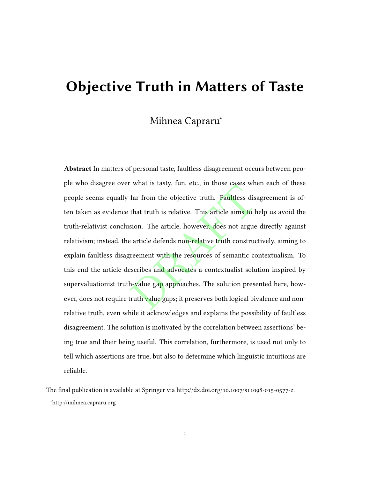# **Objective Truth in Matters of Taste**

# Mihnea Capraru<sup>∗</sup>

**Abstract** In matters of personal taste, faultless disagreement occurs between people who disagree over what is tasty, fun, etc., in those cases when each of these people seems equally far from the objective truth. Faultless disagreement is often taken as evidence that truth is relative. This article aims to help us avoid the truth-relativist conclusion. The article, however, does not argue directly against relativism; instead, the article defends non-relative truth constructively, aiming to explain faultless disagreement with the resources of semantic contextualism. To this end the article describes and advocates a contextualist solution inspired by supervaluationist truth-value gap approaches. The solution presented here, however, does not require truth value gaps; it preserves both logical bivalence and nonrelative truth, even while it acknowledges and explains the possibility of faultless disagreement. The solution is motivated by the correlation between assertions' being true and their being useful. This correlation, furthermore, is used not only to tell which assertions are true, but also to determine which linguistic intuitions are reliable. what is tasty, run, etc., in those cases which that truth is relative. This article aims to have the signal that truth is relative. This article aims to have the signal of the signal term of the resources of semantic consc

The final publication is available at Springer via [http://dx.doi.org/10.1007/s11098-015-0577-z.](http://dx.doi.org/10.1007/s11098-015-0577-z)

<sup>∗</sup><http://mihnea.capraru.org>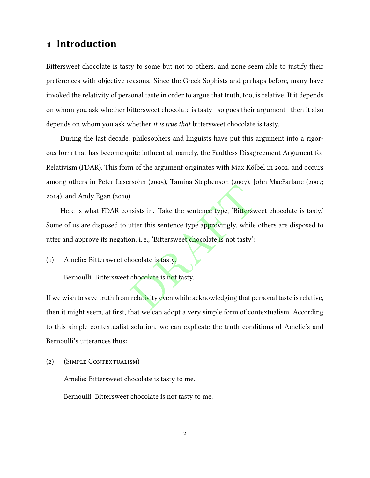## **1 Introduction**

Bittersweet chocolate is tasty to some but not to others, and none seem able to justify their preferences with objective reasons. Since the Greek Sophists and perhaps before, many have invoked the relativity of personal taste in order to argue that truth, too, is relative. If it depends on whom you ask whether bittersweet chocolate is tasty—so goes their argument—then it also depends on whom you ask whether *it is true that* bittersweet chocolate is tasty.

During the last decade, philosophers and linguists have put this argument into a rigorous form that has become quite influential, namely, the Faultless Disagreement Argument for Relativism (FDAR). This form of the argument originates with Max Kölbel in [2002,](#page-31-0) and occurs among others in Peter Lasersohn [\(2005](#page-31-1)), Tamina Stephenson ([2007\)](#page-32-0), John MacFarlane [\(2007;](#page-32-1) [2014\)](#page-32-2), and Andy Egan [\(2010](#page-31-2)).

Here is what FDAR consists in. Take the sentence type, 'Bittersweet chocolate is tasty.' Some of us are disposed to utter this sentence type approvingly, while others are disposed to utter and approve its negation, i. e., 'Bittersweet chocolate is not tasty': Example of the sentence type, 'Bitterswitter this sentence type approvingly, while<br>the this sentence type approvingly, while<br>on, i. e., 'Bittersweet chocolate is not tasty':<br>chocolate is tasty.<br>chocolate is not tasty.

<span id="page-1-0"></span>(1) Amelie: Bittersweet chocolate is tasty.

Bernoulli: Bittersweet chocolate is not tasty.

If we wish to save truth from relativity even while acknowledging that personal taste is relative, then it might seem, at first, that we can adopt a very simple form of contextualism. According to this simple contextualist solution, we can explicate the truth conditions of Amelie's and Bernoulli's utterances thus:

<span id="page-1-1"></span>(2) (Simple Contextualism)

Amelie: Bittersweet chocolate is tasty to me.

Bernoulli: Bittersweet chocolate is not tasty to me.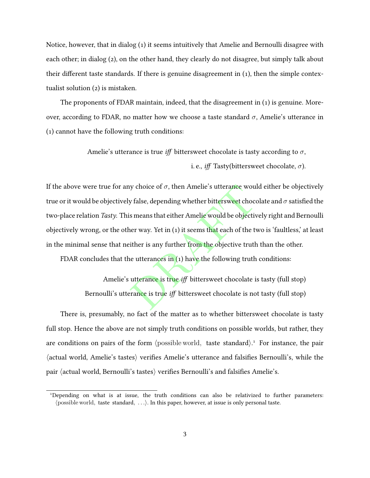Notice, however, that in dialog [\(1\)](#page-1-0) it seems intuitively that Amelie and Bernoulli disagree with each other; in dialog ([2](#page-1-1)), on the other hand, they clearly do not disagree, but simply talk about their different taste standards. If there is genuine disagreement in  $(1)$  $(1)$  $(1)$ , then the simple contextualist solution [\(2\)](#page-1-1) is mistaken.

The proponents of FDAR maintain, indeed, that the disagreement in ([1](#page-1-0)) is genuine. Moreover, according to FDAR, no matter how we choose a taste standard  $\sigma$ , Amelie's utterance in [\(1\)](#page-1-0) cannot have the following truth conditions:

Amelie's utterance is true *iff* bittersweet chocolate is tasty according to  $\sigma$ ,

i. e., *iff* Tasty(bittersweet chocolate, *σ*).

If the above were true for any choice of  $\sigma$ , then Amelie's utterance would either be objectively true or it would be objectively false, depending whether bittersweet chocolate and *σ* satisfied the two-place relation *Tasty*. This means that either Amelie would be objectively right and Bernoulli objectively wrong, or the other way. Yet in [\(1](#page-1-0)) it seems that each of the two is 'faultless,' at least in the minimal sense that neither is any further from the objective truth than the other. y choice of  $σ$ , then Amelie's utterance wou<br>
y false, depending whether bittersweet choce<br>
s means that either Amelie would be objective<br>
ner way. Yet in (1) it seems that each of the ty<br>
ither is any further from the o

FDAR concludes that the utterances in  $(1)$  have the following truth conditions:

Amelie's utterance is true *iff* bittersweet chocolate is tasty (full stop) Bernoulli's utterance is true *iff* bittersweet chocolate is not tasty (full stop)

There is, presumably, no fact of the matter as to whether bittersweet chocolate is tasty full stop. Hence the above are not simply truth conditions on possible worlds, but rather, they are conditions on pairs of the form *⟨*possible world*,* taste standard*⟩*. [1](#page-2-0) For instance, the pair *⟨*actual world, Amelie's tastes*⟩* verifies Amelie's utterance and falsifies Bernoulli's, while the pair *⟨*actual world, Bernoulli's tastes*⟩* verifies Bernoulli's and falsifies Amelie's.

<span id="page-2-0"></span><sup>1</sup>Depending on what is at issue, the truth conditions can also be relativized to further parameters: *⟨*possible world*,* taste standard*, . . .⟩*. In this paper, however, at issue is only personal taste.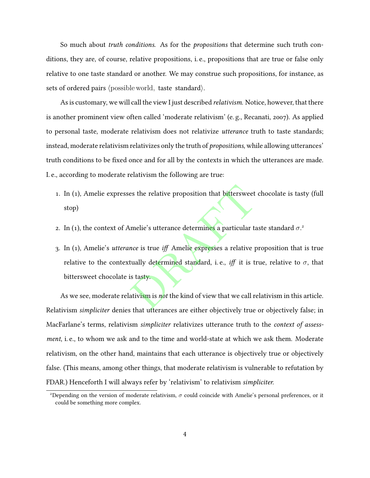So much about *truth conditions*. As for the *propositions* that determine such truth conditions, they are, of course, relative propositions, i. e., propositions that are true or false only relative to one taste standard or another. We may construe such propositions, for instance, as sets of ordered pairs *⟨*possible world*,* taste standard*⟩*.

As is customary, we will call the view I just described *relativism*. Notice, however, that there is another prominent view often called 'moderate relativism' (e. g., [Recanati,](#page-32-3) [2007\)](#page-32-3). As applied to personal taste, moderate relativism does not relativize *utterance* truth to taste standards; instead, moderate relativism relativizes only the truth of *propositions*, while allowing utterances' truth conditions to be fixed once and for all by the contexts in which the utterances are made. I. e., according to moderate relativism the following are true:

- [1](#page-1-0). In  $(1)$ , Amelie expresses the relative proposition that bittersweet chocolate is tasty (full stop)
- 2. In [\(1\)](#page-1-0), the context of Amelie's utterance determines a particular taste standard  $\sigma$ <sup>[2](#page-3-0)</sup>
- 3. In ([1\)](#page-1-0), Amelie's *utterance* is true *iff* Amelie expresses a relative proposition that is true relative to the contextually determined standard, i.e., *iff* it is true, relative to  $\sigma$ , that bittersweet chocolate is tasty. Explores the relative proposition that bittersweet<br>
melie's utterance determines a particular ta<br>
nce is true *iff* Amelie expresses a relative p<br>
tually determined standard, i.e., *iff* it is the<br>
stasty.

As we see, moderate relativism is *not* the kind of view that we call relativism in this article. Relativism *simpliciter* denies that utterances are either objectively true or objectively false; in MacFarlane's terms, relativism *simpliciter* relativizes utterance truth to the *context of assessment*, i. e., to whom we ask and to the time and world-state at which we ask them. Moderate relativism, on the other hand, maintains that each utterance is objectively true or objectively false. (This means, among other things, that moderate relativism is vulnerable to refutation by FDAR.) Henceforth I will always refer by 'relativism' to relativism *simpliciter.*

<span id="page-3-0"></span><sup>2</sup>Depending on the version of moderate relativism, *σ* could coincide with Amelie's personal preferences, or it could be something more complex.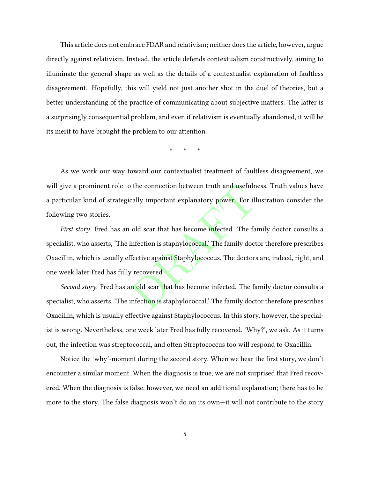This article does not embrace FDAR and relativism; neither does the article, however, argue directly against relativism. Instead, the article defends contextualism constructively, aiming to illuminate the general shape as well as the details of a contextualist explanation of faultless disagreement. Hopefully, this will yield not just another shot in the duel of theories, but a better understanding of the practice of communicating about subjective matters. The latter is a surprisingly consequential problem, and even if relativism is eventually abandoned, it will be its merit to have brought the problem to our attention.

**\* \* \***

As we work our way toward our contextualist treatment of faultless disagreement, we will give a prominent role to the connection between truth and usefulness. Truth values have a particular kind of strategically important explanatory power. For illustration consider the following two stories.

*First story*. Fred has an old scar that has become infected. The family doctor consults a specialist, who asserts, 'The infection is staphylococcal'. The family doctor therefore prescribes Oxacillin, which is usually effective against Staphylococcus. The doctors are, indeed, right, and one week later Fred has fully recovered. The connection between truth and usefuln<br>cally important explanatory power. For ill<br>old scar that has become infected. The fa<br>infection is staphylococcal.' The family doct<br>fective against Staphylococcus. The doctors<br>precov

*Second story*. Fred has an old scar that has become infected. The family doctor consults a specialist, who asserts, 'The infection is staphylococcal.' The family doctor therefore prescribes Oxacillin, which is usually effective against Staphylococcus. In this story, however, the specialist is wrong. Nevertheless, one week later Fred has fully recovered. 'Why?', we ask. As it turns out, the infection was streptococcal, and often Streptococcus too will respond to Oxacillin.

Notice the 'why'-moment during the second story. When we hear the first story, we don't encounter a similar moment. When the diagnosis is true, we are not surprised that Fred recovered. When the diagnosis is false, however, we need an additional explanation; there has to be more to the story. The false diagnosis won't do on its own—it will not contribute to the story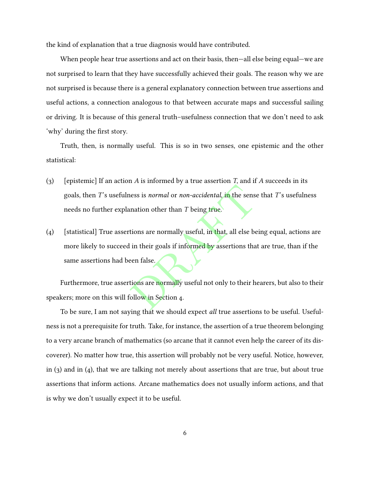the kind of explanation that a true diagnosis would have contributed.

When people hear true assertions and act on their basis, then—all else being equal—we are not surprised to learn that they have successfully achieved their goals. The reason why we are not surprised is because there is a general explanatory connection between true assertions and useful actions, a connection analogous to that between accurate maps and successful sailing or driving. It is because of this general truth–usefulness connection that we don't need to ask 'why' during the first story.

Truth, then, is normally useful. This is so in two senses, one epistemic and the other statistical:

- <span id="page-5-0"></span>(3) [epistemic] If an action *A* is informed by a true assertion *T*, and if *A* succeeds in its goals, then *T*'s usefulness is *normal* or *non-accidental*, in the sense that *T*'s usefulness needs no further explanation other than *T* being true.
- <span id="page-5-1"></span>(4) [statistical] True assertions are normally useful, in that, all else being equal, actions are more likely to succeed in their goals if informed by assertions that are true, than if the same assertions had been false. Ness is *normal* or *non-accidental*, in the sense<br>
ination other than *T* being true.<br>
tions are normally useful, in that, all else be<br>
in their goals if informed by assertions tha<br>
een false.<br>
tions are normally useful n

Furthermore, true assertions are normally useful not only to their hearers, but also to their speakers; more on this will follow in Section 4.

To be sure, I am not saying that we should expect *all* true assertions to be useful. Usefulness is not a prerequisite for truth. Take, for instance, the assertion of a true theorem belonging to a very arcane branch of mathematics (so arcane that it cannot even help the career of its discoverer). No matter how true, this assertion will probably not be very useful. Notice, however, in  $(3)$  and in  $(4)$ , that we are talking not merely about assertions that are true, but about true assertions that inform actions. Arcane mathematics does not usually inform actions, and that is why we don't usually expect it to be useful.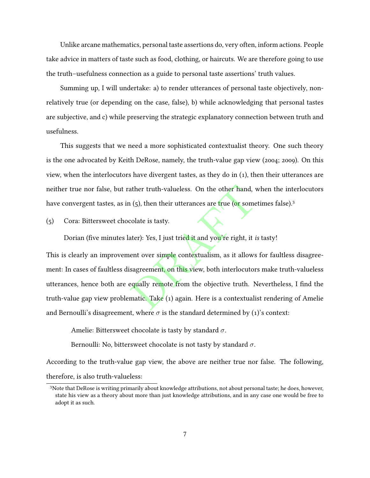Unlike arcane mathematics, personal taste assertions do, very often, inform actions. People take advice in matters of taste such as food, clothing, or haircuts. We are therefore going to use the truth–usefulness connection as a guide to personal taste assertions' truth values.

Summing up, I will undertake: a) to render utterances of personal taste objectively, nonrelatively true (or depending on the case, false), b) while acknowledging that personal tastes are subjective, and c) while preserving the strategic explanatory connection between truth and usefulness.

This suggests that we need a more sophisticated contextualist theory. One such theory is the one advocated by Keith DeRose, namely, the truth-value gap view ([2004](#page-31-3); [2009](#page-31-4)). On this view, when the interlocutors have divergent tastes, as they do in ([1](#page-1-0)), then their utterances are neither true nor false, but rather truth-valueless. On the other hand, when the interlocutors have convergent tastes, as in  $(5)$ , then their utterances are true (or sometimes false).<sup>[3](#page-6-1)</sup>

<span id="page-6-0"></span>(5) Cora: Bittersweet chocolate is tasty.

Dorian (five minutes later): Yes, I just tried it and you're right, it *is* tasty!

This is clearly an improvement over simple contextualism, as it allows for faultless disagreement: In cases of faultless disagreement, on this view, both interlocutors make truth-valueless utterances, hence both are equally remote from the objective truth. Nevertheless, I find the truth-value gap view problematic. Take ([1](#page-1-0)) again. Here is a contextualist rendering of Amelie and Bernoulli's disagreement, where  $\sigma$  is the standard determined by [\(1\)](#page-1-0)'s context: ather truth-valueless. On the other hand, v<br>
1(5), then their utterances are true (or some<br>
colate is tasty.<br>
ater): Yes, I just tried it and you're right, it is<br>
ent over simple contextualism, as it allows<br>
sagreement, on

Amelie: Bittersweet chocolate is tasty by standard *σ*.

Bernoulli: No, bittersweet chocolate is not tasty by standard *σ*.

According to the truth-value gap view, the above are neither true nor false. The following, therefore, is also truth-valueless:

<span id="page-6-1"></span><sup>3</sup>Note that DeRose is writing primarily about knowledge attributions, not about personal taste; he does, however, state his view as a theory about more than just knowledge attributions, and in any case one would be free to adopt it as such.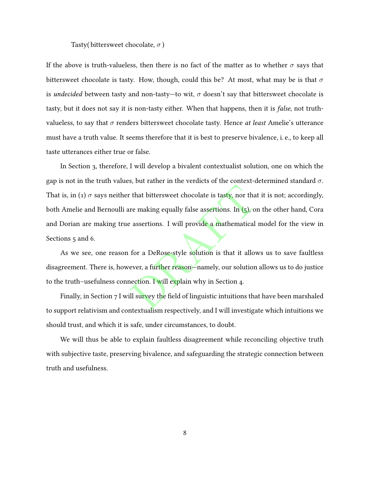#### Tasty( bittersweet chocolate, *σ* )

If the above is truth-valueless, then there is no fact of the matter as to whether  $\sigma$  says that bittersweet chocolate is tasty. How, though, could this be? At most, what may be is that *σ* is *undecided* between tasty and non-tasty—to wit, *σ* doesn't say that bittersweet chocolate is tasty, but it does not say it is non-tasty either. When that happens, then it is *false*, not truthvalueless, to say that *σ* renders bittersweet chocolate tasty. Hence *at least* Amelie's utterance must have a truth value. It seems therefore that it is best to preserve bivalence, i. e., to keep all taste utterances either true or false.

In Section [3](#page-10-0), therefore, I will develop a bivalent contextualist solution, one on which the gap is not in the truth values, but rather in the verdicts of the context-determined standard *σ*. That is, in [\(1\)](#page-1-0)  $\sigma$  says neither that bittersweet chocolate is tasty, nor that it is not; accordingly, both Amelie and Bernoulli are making equally false assertions. In [\(5\)](#page-6-0), on the other hand, Cora and Dorian are making true assertions. I will provide a mathematical model for the view in Sections [5](#page-20-0) and [6](#page-22-0). that bittersweet chocolate is tasty, nor that<br>re making equally false assertions. In (5), or<br>assertions. I will provide a mathematical<br>for a DeRose-style solution is that it allow<br>ever, a further reason—namely, our solutio

As we see, one reason for a DeRose-style solution is that it allows us to save faultless disagreement. There is, however, a further reason—namely, our solution allows us to do justice to the truth–usefulness connection. I will explain why in Section [4](#page-12-0).

Finally, in Section  $7 \text{ I}$  $7 \text{ I}$  will survey the field of linguistic intuitions that have been marshaled to support relativism and contextualism respectively, and I will investigate which intuitions we should trust, and which it is safe, under circumstances, to doubt.

We will thus be able to explain faultless disagreement while reconciling objective truth with subjective taste, preserving bivalence, and safeguarding the strategic connection between truth and usefulness.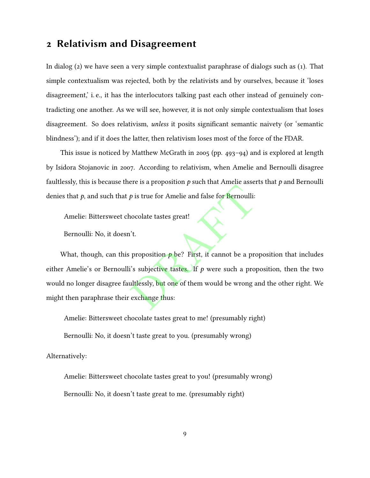### **2 Relativism and Disagreement**

In dialog ([2](#page-1-1)) we have seen a very simple contextualist paraphrase of dialogs such as [\(1\)](#page-1-0). That simple contextualism was rejected, both by the relativists and by ourselves, because it 'loses disagreement, i.e., it has the interlocutors talking past each other instead of genuinely contradicting one another. As we will see, however, it is not only simple contextualism that loses disagreement. So does relativism, *unless* it posits significant semantic naivety (or 'semantic blindness'); and if it does the latter, then relativism loses most of the force of the FDAR.

This issue is noticed by Matthew McGrath in [2005](#page-32-4) (pp. 493–94) and is explored at length by Isidora Stojanovic in [2007.](#page-33-0) According to relativism, when Amelie and Bernoulli disagree faultlessly, this is because there is a proposition  $p$  such that Amelie asserts that  $p$  and Bernoulli denies that  $p$ , and such that  $p$  is true for Amelie and false for Bernoulli:

Amelie: Bittersweet chocolate tastes great!

Bernoulli: No, it doesn't.

What, though, can this proposition  $p$  be? First, it cannot be a proposition that includes either Amelie's or Bernoulli's subjective tastes. If  $p$  were such a proposition, then the two would no longer disagree faultlessly, but one of them would be wrong and the other right. We might then paraphrase their exchange thus: p is true for Amelie and false for Bernoulli:<br>nocolate tastes great!<br>it.<br>proposition p be? First, it cannot be a pro<br>i's subjective tastes. If p were such a propultlessly, but one of them would be wrong a<br>exchange thus:

Amelie: Bittersweet chocolate tastes great to me! (presumably right)

Bernoulli: No, it doesn't taste great to you. (presumably wrong)

Alternatively:

Amelie: Bittersweet chocolate tastes great to you! (presumably wrong) Bernoulli: No, it doesn't taste great to me. (presumably right)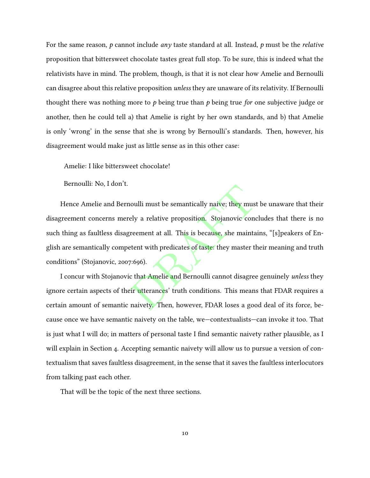For the same reason, *p* cannot include *any* taste standard at all. Instead, *p* must be the *relative* proposition that bittersweet chocolate tastes great full stop. To be sure, this is indeed what the relativists have in mind. The problem, though, is that it is not clear how Amelie and Bernoulli can disagree about this relative proposition *unless* they are unaware of its relativity. If Bernoulli thought there was nothing more to *p* being true than *p* being true *for* one subjective judge or another, then he could tell a) that Amelie is right by her own standards, and b) that Amelie is only 'wrong' in the sense that she is wrong by Bernoulli's standards. Then, however, his disagreement would make just as little sense as in this other case:

Amelie: I like bittersweet chocolate!

Bernoulli: No, I don't.

Hence Amelie and Bernoulli must be semantically naive; they must be unaware that their disagreement concerns merely a relative proposition. Stojanovic concludes that there is no such thing as faultless disagreement at all. This is because, she maintains, "[s]peakers of English are semantically competent with predicates of taste: they master their meaning and truth conditions" ([Stojanovic,](#page-33-0) [2007:](#page-33-0)696). Noulli must be semantically naive; they must<br>
ely a relative proposition. Stojanovic conc<br>
reement at all. This is because, she mainta<br>
tent with predicates of taste: they master the<br>
7:696).<br>
c that Amelie and Bernoulli c

I concur with Stojanovic that Amelie and Bernoulli cannot disagree genuinely *unless* they ignore certain aspects of their utterances' truth conditions. This means that FDAR requires a certain amount of semantic naivety. Then, however, FDAR loses a good deal of its force, because once we have semantic naivety on the table, we—contextualists—can invoke it too. That is just what I will do; in matters of personal taste I find semantic naivety rather plausible, as I will explain in Section [4](#page-12-0). Accepting semantic naivety will allow us to pursue a version of contextualism that saves faultless disagreement, in the sense that it saves the faultless interlocutors from talking past each other.

That will be the topic of the next three sections.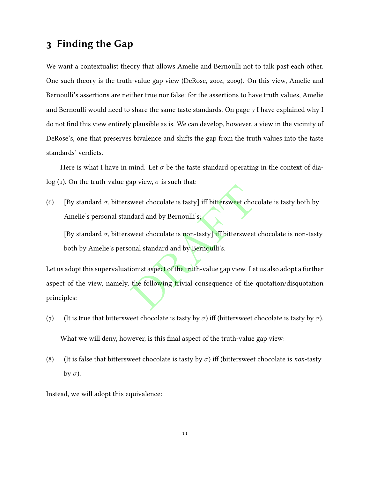# <span id="page-10-0"></span>**3 Finding the Gap**

We want a contextualist theory that allows Amelie and Bernoulli not to talk past each other. One such theory is the truth-value gap view [\(DeRose,](#page-31-3) [2004](#page-31-3), [2009\)](#page-31-4). On this view, Amelie and Bernoulli's assertions are neither true nor false: for the assertions to have truth values, Amelie and Bernoulli would need to share the same taste standards. On page [7](#page-6-0) I have explained why I do not find this view entirely plausible as is. We can develop, however, a view in the vicinity of DeRose's, one that preserves bivalence and shifts the gap from the truth values into the taste standards' verdicts.

Here is what I have in mind. Let  $\sigma$  be the taste standard operating in the context of dia-log [\(1\)](#page-1-0). On the truth-value gap view,  $\sigma$  is such that:

(6) [By standard  $\sigma$ , bittersweet chocolate is tasty] iff bittersweet chocolate is tasty both by Amelie's personal standard and by Bernoulli's;

[By standard  $\sigma$ , bittersweet chocolate is non-tasty] iff bittersweet chocolate is non-tasty both by Amelie's personal standard and by Bernoulli's.

<span id="page-10-2"></span>Let us adopt this supervaluationist aspect of the truth-value gap view. Let us also adopt a further aspect of the view, namely, the following trivial consequence of the quotation/disquotation principles: Example 12 December 2014<br>
We detect chocolate is tasty] iff bittersweet chocolate is non-tasty] iff bittersweet<br>
Draps and standard and by Bernoulli's.<br>
How is a spect of the truth-value gap view. Let<br>
the following trivia

- (7) (It is true that bittersweet chocolate is tasty by  $\sigma$ ) iff (bittersweet chocolate is tasty by  $\sigma$ ). What we will deny, however, is this final aspect of the truth-value gap view:
- <span id="page-10-1"></span>(8) (It is false that bittersweet chocolate is tasty by  $\sigma$ ) iff (bittersweet chocolate is *non*-tasty by  $\sigma$ ).

Instead, we will adopt this equivalence: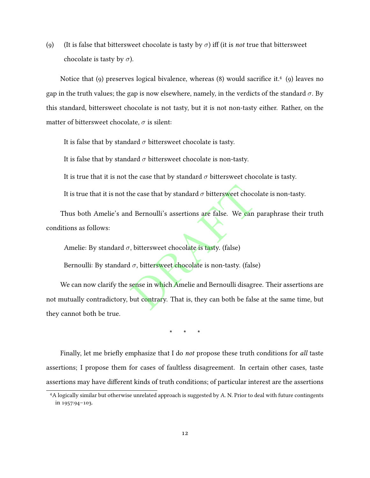<span id="page-11-0"></span>(9) (It is false that bittersweet chocolate is tasty by  $\sigma$ ) iff (it is *not* true that bittersweet chocolate is tasty by  $\sigma$ ).

Notice that [\(9\)](#page-11-0) preserves logical bivalence, whereas ([8\)](#page-10-1) would sacrifice it.<sup>[4](#page-11-1)</sup> (9) leaves no gap in the truth values; the gap is now elsewhere, namely, in the verdicts of the standard  $\sigma$ . By this standard, bittersweet chocolate is not tasty, but it is not non-tasty either. Rather, on the matter of bittersweet chocolate,  $\sigma$  is silent:

It is false that by standard  $\sigma$  bittersweet chocolate is tasty.

It is false that by standard  $\sigma$  bittersweet chocolate is non-tasty.

It is true that it is not the case that by standard  $\sigma$  bittersweet chocolate is tasty.

It is true that it is not the case that by standard  $\sigma$  bitters weet chocolate is non-tasty.

Thus both Amelie's and Bernoulli's assertions are false. We can paraphrase their truth conditions as follows:

Amelie: By standard  $\sigma$ , bittersweet chocolate is tasty. (false)

Bernoulli: By standard  $\sigma$ , bittersweet chocolate is non-tasty. (false)

We can now clarify the sense in which Amelie and Bernoulli disagree. Their assertions are not mutually contradictory, but contrary. That is, they can both be false at the same time, but they cannot both be true. The case that by standard  $\sigma$  bittersweet choce<br>d Bernoulli's assertions are false. We can<br>d Bernoulli's assertions are false. We can<br>dependent of the can<br>discussed chocolate is non-tasty. (false<br>sense in which Amelie an

**\* \* \***

Finally, let me briefly emphasize that I do *not* propose these truth conditions for *all* taste assertions; I propose them for cases of faultless disagreement. In certain other cases, taste assertions may have different kinds of truth conditions; of particular interest are the assertions

<span id="page-11-1"></span><sup>4</sup>A logically similar but otherwise unrelated approach is suggested by A. N. Prior to deal with future contingents in [1957:](#page-32-5)94–103.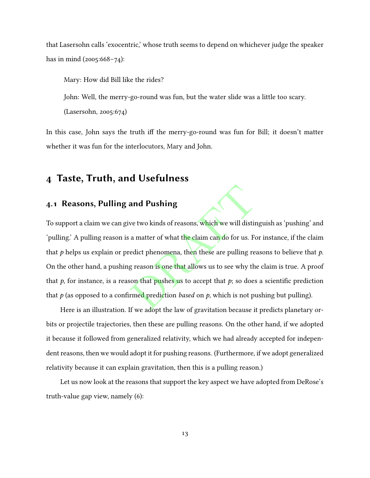that Lasersohn calls 'exocentric,' whose truth seems to depend on whichever judge the speaker has in mind ([2005:](#page-31-1)668–74):

Mary: How did Bill like the rides?

John: Well, the merry-go-round was fun, but the water slide was a little too scary.

[\(Lasersohn](#page-31-1), [2005](#page-31-1):674)

In this case, John says the truth iff the merry-go-round was fun for Bill; it doesn't matter whether it was fun for the interlocutors, Mary and John.

## <span id="page-12-0"></span>**4 Taste, Truth, and Usefulness**

#### **4.1 Reasons, Pulling and Pushing**

To support a claim we can give two kinds of reasons, which we will distinguish as 'pushing' and 'pulling.' A pulling reason is a matter of what the claim can do for us. For instance, if the claim that *p* helps us explain or predict phenomena, then these are pulling reasons to believe that *p*. On the other hand, a pushing reason is one that allows us to see why the claim is true. A proof that  $p$ , for instance, is a reason that pushes us to accept that  $p$ ; so does a scientific prediction that  $p$  (as opposed to a confirmed prediction *based* on  $p$ , which is not pushing but pulling). and Pushing<br>we two kinds of reasons, which we will distint<br>a matter of what the claim can do for us. For<br>edict phenomena, then these are pulling reason is one that allows us to see why the<br>sequence of the pushes was to ac

Here is an illustration. If we adopt the law of gravitation because it predicts planetary orbits or projectile trajectories, then these are pulling reasons. On the other hand, if we adopted it because it followed from generalized relativity, which we had already accepted for independent reasons, then we would adopt it for pushing reasons. (Furthermore, if we adopt generalized relativity because it can explain gravitation, then this is a pulling reason.)

Let us now look at the reasons that support the key aspect we have adopted from DeRose's truth-value gap view, namely [\(6\)](#page-10-2):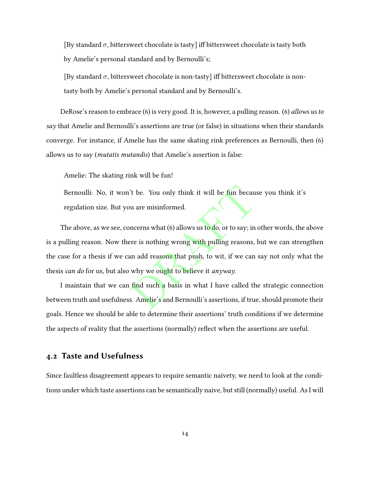[By standard  $\sigma$ , bittersweet chocolate is tasty] iff bittersweet chocolate is tasty both by Amelie's personal standard and by Bernoulli's;

[By standard  $\sigma$ , bittersweet chocolate is non-tasty] iff bittersweet chocolate is nontasty both by Amelie's personal standard and by Bernoulli's.

DeRose's reason to embrace ([6](#page-10-2)) is very good. It is, however, a pulling reason. [\(6](#page-10-2)) *allows us to say* that Amelie and Bernoulli's assertions are true (or false) in situations when their standards converge. For instance, if Amelie has the same skating rink preferences as Bernoulli, then [\(6\)](#page-10-2) allows us to say (*mutatis mutandis*) that Amelie's assertion is false:

Amelie: The skating rink will be fun!

Bernoulli: No, it won't be. You only think it will be fun because you think it's regulation size. But you are misinformed.

The above, as we see, concerns what  $(6)$  allows us to do, or to say; in other words, the above is a pulling reason. Now there is nothing wrong with pulling reasons, but we can strengthen the case for a thesis if we can add reasons that push, to wit, if we can say not only what the thesis *can do* for us, but also why we ought to believe it *anyway*. The State of the State of the State of the State of the State of the State of the State of the State of the State of the State of the State of the State of the State of the State of the State of the State of the State of t

I maintain that we can find such a basis in what I have called the strategic connection between truth and usefulness. Amelie's and Bernoulli's assertions, if true, should promote their goals. Hence we should be able to determine their assertions' truth conditions if we determine the aspects of reality that the assertions (normally) reflect when the assertions are useful.

#### **4.2 Taste and Usefulness**

Since faultless disagreement appears to require semantic naivety, we need to look at the conditions under which taste assertions can be semantically naive, but still (normally) useful. As I will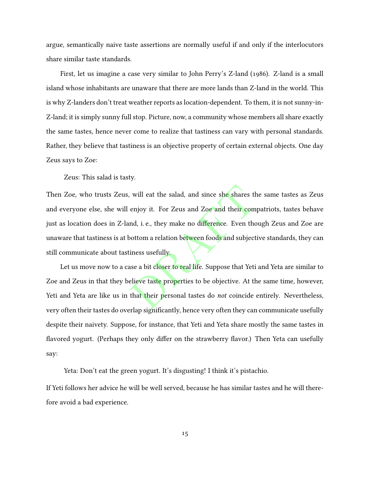argue, semantically naive taste assertions are normally useful if and only if the interlocutors share similar taste standards.

First, let us imagine a case very similar to John Perry's Z-land [\(1986](#page-32-6)). Z-land is a small island whose inhabitants are unaware that there are more lands than Z-land in the world. This is why Z-landers don't treat weather reports as location-dependent. To them, it is not sunny-in-Z-land; it is simply sunny full stop. Picture, now, a community whose members all share exactly the same tastes, hence never come to realize that tastiness can vary with personal standards. Rather, they believe that tastiness is an objective property of certain external objects. One day Zeus says to Zoe:

Zeus: This salad is tasty.

Then Zoe, who trusts Zeus, will eat the salad, and since she shares the same tastes as Zeus and everyone else, she will enjoy it. For Zeus and Zoe and their compatriots, tastes behave just as location does in Z-land, i. e., they make no difference. Even though Zeus and Zoe are unaware that tastiness is at bottom a relation between foods and subjective standards, they can still communicate about tastiness usefully. will eat the salad, and since she shares the<br>enjoy it. For Zeus and Zoe and their com<br>nd, i.e., they make no difference. Even the<br>oottom a relation between foods and subject<br>iness usefully.<br>see a bit closer to real life. S

Let us move now to a case a bit closer to real life. Suppose that Yeti and Yeta are similar to Zoe and Zeus in that they believe taste properties to be objective. At the same time, however, Yeti and Yeta are like us in that their personal tastes do *not* coincide entirely. Nevertheless, very often their tastes do overlap significantly, hence very often they can communicate usefully despite their naivety. Suppose, for instance, that Yeti and Yeta share mostly the same tastes in flavored yogurt. (Perhaps they only differ on the strawberry flavor.) Then Yeta can usefully say:

Yeta: Don't eat the green yogurt. It's disgusting! I think it's pistachio.

If Yeti follows her advice he will be well served, because he has similar tastes and he will therefore avoid a bad experience.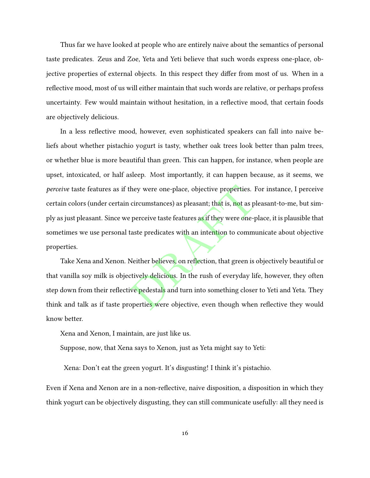Thus far we have looked at people who are entirely naive about the semantics of personal taste predicates. Zeus and Zoe, Yeta and Yeti believe that such words express one-place, objective properties of external objects. In this respect they differ from most of us. When in a reflective mood, most of us will either maintain that such words are relative, or perhaps profess uncertainty. Few would maintain without hesitation, in a reflective mood, that certain foods are objectively delicious.

In a less reflective mood, however, even sophisticated speakers can fall into naive beliefs about whether pistachio yogurt is tasty, whether oak trees look better than palm trees, or whether blue is more beautiful than green. This can happen, for instance, when people are upset, intoxicated, or half asleep. Most importantly, it can happen because, as it seems, we *perceive* taste features as if they were one-place, objective properties. For instance, I perceive certain colors (under certain circumstances) as pleasant; that is, not as pleasant-to-me, but simply as just pleasant. Since we perceive taste features as if they were one-place, it is plausible that sometimes we use personal taste predicates with an intention to communicate about objective properties. hey were one-place, objective properties. I<br>circumstances) as pleasant; that is, not as pl<br>perceive taste features as if they were one-p<br>taste predicates with an intention to commu<br>Neither believes, on reflection, that gre

Take Xena and Xenon. Neither believes, on reflection, that green is objectively beautiful or that vanilla soy milk is objectively delicious. In the rush of everyday life, however, they often step down from their reflective pedestals and turn into something closer to Yeti and Yeta. They think and talk as if taste properties were objective, even though when reflective they would know better.

Xena and Xenon, I maintain, are just like us.

Suppose, now, that Xena says to Xenon, just as Yeta might say to Yeti:

Xena: Don't eat the green yogurt. It's disgusting! I think it's pistachio.

Even if Xena and Xenon are in a non-reflective, naive disposition, a disposition in which they think yogurt can be objectively disgusting, they can still communicate usefully: all they need is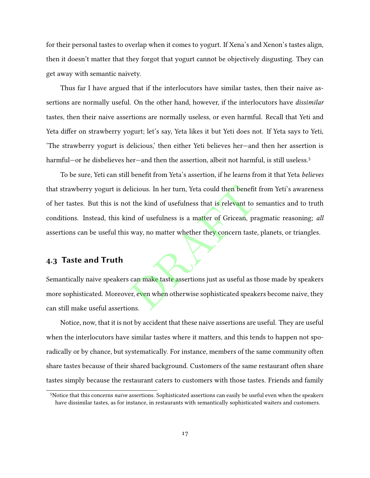for their personal tastes to overlap when it comes to yogurt. If Xena's and Xenon's tastes align, then it doesn't matter that they forgot that yogurt cannot be objectively disgusting. They can get away with semantic naivety.

Thus far I have argued that if the interlocutors have similar tastes, then their naive assertions are normally useful. On the other hand, however, if the interlocutors have *dissimilar* tastes, then their naive assertions are normally useless, or even harmful. Recall that Yeti and Yeta differ on strawberry yogurt; let's say, Yeta likes it but Yeti does not. If Yeta says to Yeti, 'The strawberry yogurt is delicious,' then either Yeti believes her—and then her assertion is harmful—or he disbelieves her—and then the assertion, albeit not harmful, is still useless.<sup>[5](#page-16-0)</sup>

To be sure, Yeti can still benefit from Yeta's assertion, if he learns from it that Yeta *believes* that strawberry yogurt is delicious. In her turn, Yeta could then benefit from Yeti's awareness of her tastes. But this is not the kind of usefulness that is relevant to semantics and to truth conditions. Instead, this kind of usefulness is a matter of Gricean, pragmatic reasoning; *all* assertions can be useful this way, no matter whether they concern taste, planets, or triangles. licious. In her turn, Yeta could then benefit<br>
: the kind of usefulness that is relevant to s<br>
nd of usefulness is a matter of Gricean, pr<br>
way, no matter whether they concern taste<br>
can make taste assertions just as usefu

#### **4.3 Taste and Truth**

Semantically naive speakers can make taste assertions just as useful as those made by speakers more sophisticated. Moreover, even when otherwise sophisticated speakers become naive, they can still make useful assertions.

Notice, now, that it is not by accident that these naive assertions are useful. They are useful when the interlocutors have similar tastes where it matters, and this tends to happen not sporadically or by chance, but systematically. For instance, members of the same community often share tastes because of their shared background. Customers of the same restaurant often share tastes simply because the restaurant caters to customers with those tastes. Friends and family

<span id="page-16-0"></span><sup>5</sup>Notice that this concerns *naive* assertions. Sophisticated assertions can easily be useful even when the speakers have dissimilar tastes, as for instance, in restaurants with semantically sophisticated waiters and customers.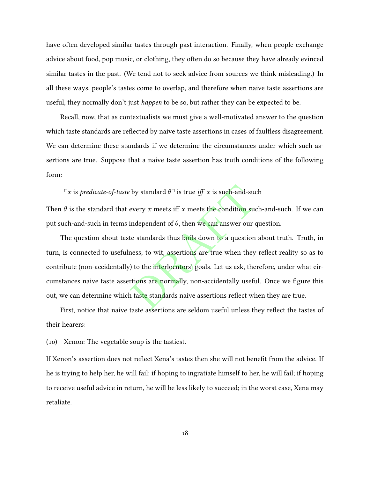have often developed similar tastes through past interaction. Finally, when people exchange advice about food, pop music, or clothing, they often do so because they have already evinced similar tastes in the past. (We tend not to seek advice from sources we think misleading.) In all these ways, people's tastes come to overlap, and therefore when naive taste assertions are useful, they normally don't just *happen* to be so, but rather they can be expected to be.

Recall, now, that as contextualists we must give a well-motivated answer to the question which taste standards are reflected by naive taste assertions in cases of faultless disagreement. We can determine these standards if we determine the circumstances under which such assertions are true. Suppose that a naive taste assertion has truth conditions of the following form:

⌜*x* is *predicate-of-taste* by standard *θ*⌝ is true *iff x* is such-and-such

Then  $\theta$  is the standard that every *x* meets iff *x* meets the condition such-and-such. If we can put such-and-such in terms independent of  $\theta$ , then we can answer our question.

The question about taste standards thus boils down to a question about truth. Truth, in turn, is connected to usefulness; to wit, assertions are true when they reflect reality so as to contribute (non-accidentally) to the interlocutors' goals. Let us ask, therefore, under what circumstances naive taste assertions are normally, non-accidentally useful. Once we figure this out, we can determine which taste standards naive assertions reflect when they are true. by standard  $\theta$ <sup>-1</sup> is true *iff x* is such-and-suck every *x* meets iff *x* meets the condition suck independent of  $\theta$ , then we can answer our contract independent of  $\theta$ , then we can answer our contract is standar

First, notice that naive taste assertions are seldom useful unless they reflect the tastes of their hearers:

<span id="page-17-0"></span>(10) Xenon: The vegetable soup is the tastiest.

If Xenon's assertion does not reflect Xena's tastes then she will not benefit from the advice. If he is trying to help her, he will fail; if hoping to ingratiate himself to her, he will fail; if hoping to receive useful advice in return, he will be less likely to succeed; in the worst case, Xena may retaliate.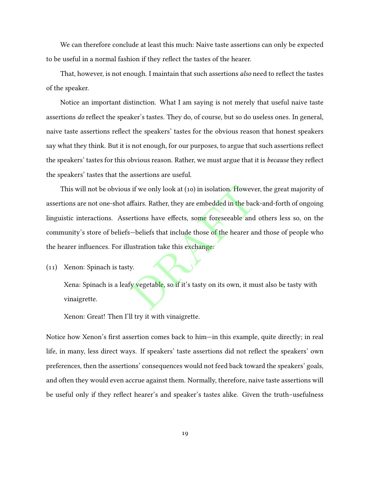We can therefore conclude at least this much: Naive taste assertions can only be expected to be useful in a normal fashion if they reflect the tastes of the hearer.

That, however, is not enough. I maintain that such assertions *also* need to reflect the tastes of the speaker.

Notice an important distinction. What I am saying is not merely that useful naive taste assertions *do* reflect the speaker's tastes. They do, of course, but so do useless ones. In general, naive taste assertions reflect the speakers' tastes for the obvious reason that honest speakers say what they think. But it is not enough, for our purposes, to argue that such assertions reflect the speakers' tastes for this obvious reason. Rather, we must argue that it is *because* they reflect the speakers' tastes that the assertions are useful.

This will not be obvious if we only look at ([10](#page-17-0)) in isolation. However, the great majority of assertions are not one-shot affairs. Rather, they are embedded in the back-and-forth of ongoing linguistic interactions. Assertions have effects, some foreseeable and others less so, on the community's store of beliefs—beliefs that include those of the hearer and those of people who the hearer influences. For illustration take this exchange: France is if we only look at (10) in isolation. However<br>
ffairs. Rather, they are embedded in the backer<br>
ertions have effects, some foreseeable and<br>
—beliefs that include those of the hearer are<br>
ustration take this excha

(11) Xenon: Spinach is tasty.

Xena: Spinach is a leafy vegetable, so if it's tasty on its own, it must also be tasty with vinaigrette.

Xenon: Great! Then I'll try it with vinaigrette.

Notice how Xenon's first assertion comes back to him—in this example, quite directly; in real life, in many, less direct ways. If speakers' taste assertions did not reflect the speakers' own preferences, then the assertions' consequences would not feed back toward the speakers' goals, and often they would even accrue against them. Normally, therefore, naive taste assertions will be useful only if they reflect hearer's and speaker's tastes alike. Given the truth–usefulness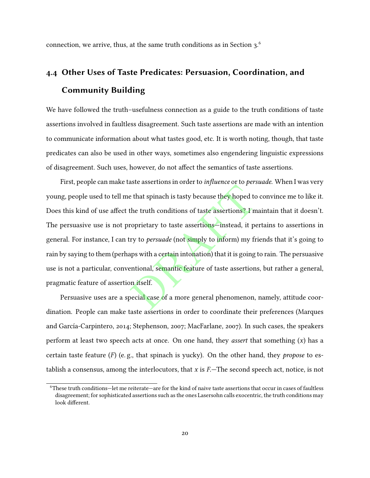connection, we arrive, thus, at the same truth conditions as in Section  $3.6$  $3.6$  $3.6$ 

# **4.4 Other Uses of Taste Predicates: Persuasion, Coordination, and Community Building**

We have followed the truth–usefulness connection as a guide to the truth conditions of taste assertions involved in faultless disagreement. Such taste assertions are made with an intention to communicate information about what tastes good, etc. It is worth noting, though, that taste predicates can also be used in other ways, sometimes also engendering linguistic expressions of disagreement. Such uses, however, do not affect the semantics of taste assertions.

First, people can make taste assertions in order to *influence* or to *persuade*. When I was very young, people used to tell me that spinach is tasty because they hoped to convince me to like it. Does this kind of use affect the truth conditions of taste assertions? I maintain that it doesn't. The persuasive use is not proprietary to taste assertions—instead, it pertains to assertions in general. For instance, I can try to *persuade* (not simply to inform) my friends that it's going to rain by saying to them (perhaps with a certain intonation) that it is going to rain. The persuasive use is not a particular, conventional, semantic feature of taste assertions, but rather a general, pragmatic feature of assertion itself. Example also in start to any antiversity to the printing of the truth conditions of taste assertions? I'm<br>roprietary to taste assertions—instead, it per ry to *persuade* (not simply to inform) my fr<br>apps with a certain int

Persuasive uses are a special case of a more general phenomenon, namely, attitude coordination. People can make taste assertions in order to coordinate their preferences [\(Marques](#page-32-7) [and García-Carpintero](#page-32-7), [2014](#page-32-7); [Stephenson,](#page-32-0) [2007;](#page-32-0) [MacFarlane](#page-32-1), [2007](#page-32-1)). In such cases, the speakers perform at least two speech acts at once. On one hand, they *assert* that something (*x*) has a certain taste feature (*F*) (e. g., that spinach is yucky). On the other hand, they *propose* to establish a consensus, among the interlocutors, that *x* is *F*.—The second speech act, notice, is not

<span id="page-19-0"></span><sup>6</sup>These truth conditions—let me reiterate—are for the kind of naive taste assertions that occur in cases of faultless disagreement; for sophisticated assertions such as the ones Lasersohn calls exocentric, the truth conditions may look different.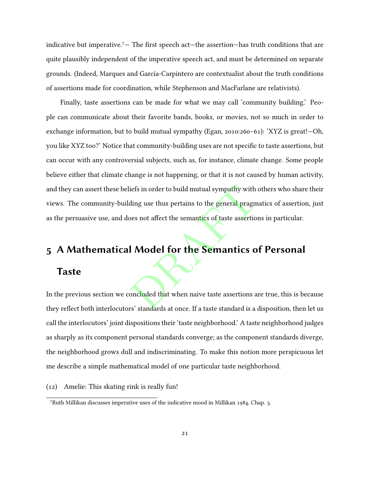indicative but imperative.[7](#page-20-1)— The first speech act—the assertion—has truth conditions that are quite plausibly independent of the imperative speech act, and must be determined on separate grounds. (Indeed, Marques and García-Carpintero are contextualist about the truth conditions of assertions made for coordination, while Stephenson and MacFarlane are relativists).

Finally, taste assertions can be made for what we may call 'community building.' People can communicate about their favorite bands, books, or movies, not so much in order to exchange information, but to build mutual sympathy ([Egan](#page-31-2), [2010](#page-31-2):260–61): 'XYZ is great!—Oh, you like XYZ too?' Notice that community-building uses are not specific to taste assertions, but can occur with any controversial subjects, such as, for instance, climate change. Some people believe either that climate change is not happening, or that it is not caused by human activity, and they can assert these beliefs in order to build mutual sympathy with others who share their views. The community-building use thus pertains to the general pragmatics of assertion, just as the persuasive use, and does not affect the semantics of taste assertions in particular. Experience is in order to build mutual sympathy with<br>ding use thus pertains to the general pragment of the semantics of taste assertion<br>oncluded that when naive taste assertions and<br>six is standards at once. If a taste sta

# <span id="page-20-0"></span>**5 A Mathematical Model for the Semantics of Personal**

### **Taste**

In the previous section we concluded that when naive taste assertions are true, this is because they reflect both interlocutors' standards at once. If a taste standard is a disposition, then let us call the interlocutors' joint dispositions their 'taste neighborhood.' A taste neighborhood judges as sharply as its component personal standards converge; as the component standards diverge, the neighborhood grows dull and indiscriminating. To make this notion more perspicuous let me describe a simple mathematical model of one particular taste neighborhood.

<span id="page-20-2"></span>(12) Amelie: This skating rink is really fun!

<span id="page-20-1"></span><sup>7</sup>Ruth Millikan discusses imperative uses of the indicative mood in [Millikan](#page-32-8) [1984,](#page-32-8) Chap. 3.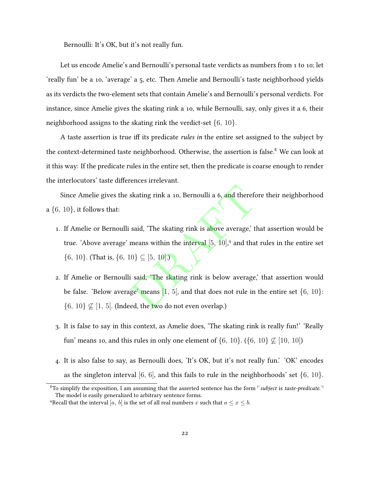Bernoulli: It's OK, but it's not really fun.

Let us encode Amelie's and Bernoulli's personal taste verdicts as numbers from 1 to 10; let 'really fun' be a 10, 'average' a 5, etc. Then Amelie and Bernoulli's taste neighborhood yields as its verdicts the two-element sets that contain Amelie's and Bernoulli's personal verdicts. For instance, since Amelie gives the skating rink a 10, while Bernoulli, say, only gives it a 6, their neighborhood assigns to the skating rink the verdict-set *{*6*,* 10*}*.

A taste assertion is true iff its predicate *rules in* the entire set assigned to the subject by the context-determined taste neighborhood. Otherwise, the assertion is false.<sup>[8](#page-21-0)</sup> We can look at it this way: If the predicate rules in the entire set, then the predicate is coarse enough to render the interlocutors' taste differences irrelevant.

Since Amelie gives the skating rink a 10, Bernoulli a 6, and therefore their neighborhood a *{*6*,* 10*}*, it follows that:

- 1. If Amelie or Bernoulli said, 'The skating rink is above average,' that assertion would be true. 'Above average' means within the inter<mark>val</mark> [5, 10],<sup>[9](#page-21-1)</sup> and that rules in the entire set *{*6*,* 10*}*. (That is, *{*6*,* 10*} ⊆* [5*,* 10].) skating rink a 10, Bernoulli a 6, and therefore<br>said, 'The skating rink is above average,' the skating rink is above average,' the skating rink is below average,<br>i said, 'The skating rink is below average,<br>ge' means [1, 5
- 2. If Amelie or Bernoulli said, 'The skating rink is below average,' that assertion would be false. 'Below average' means [1*,* 5[, and that does not rule in the entire set *{*6*,* 10*}*:  $\{6, 10\} \not\subseteq [1, 5]$ . (Indeed, the two do not even overlap.)
- 3. It is false to say in this context, as Amelie does, 'The skating rink is really fun!' 'Really fun' means 10, and this rules in only one element of  $\{6, 10\}$ .  $(\{6, 10\} \not\subset [10, 10])$
- 4. It is also false to say, as Bernoulli does, 'It's OK, but it's not really fun.' 'OK' encodes as the singleton interval [6*,* 6], and this fails to rule in the neighborhoods' set *{*6*,* 10*}*.

<span id="page-21-0"></span><sup>8</sup>To simplify the exposition, I am assuming that the asserted sentence has the form ⌜*subject* is *taste-predicate*.⌝ The model is easily generalized to arbitrary sentence forms.

<span id="page-21-1"></span><sup>&</sup>lt;sup>9</sup>Recall that the interval [*a*, *b*] is the set of all real numbers *x* such that  $a \leq x \leq b$ .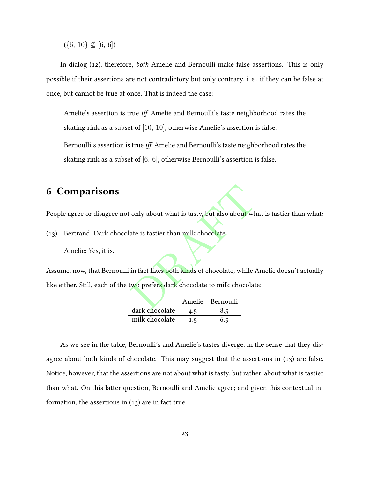$({6, 10} \not\subseteq [6, 6])$ 

In dialog ([12\)](#page-20-2), therefore, *both* Amelie and Bernoulli make false assertions. This is only possible if their assertions are not contradictory but only contrary, i. e., if they can be false at once, but cannot be true at once. That is indeed the case:

Amelie's assertion is true *iff* Amelie and Bernoulli's taste neighborhood rates the skating rink as a subset of [10*,* 10]; otherwise Amelie's assertion is false.

Bernoulli's assertion is true *iff* Amelie and Bernoulli's taste neighborhood rates the skating rink as a subset of [6*,* 6]; otherwise Bernoulli's assertion is false.

# **6 Comparisons**

<span id="page-22-1"></span>People agree or disagree not only about what is tasty, but also about what is tastier than what:

(13) Bertrand: Dark chocolate is tastier than milk chocolate.

Amelie: Yes, it is.

<span id="page-22-0"></span>Assume, now, that Bernoulli in fact likes both kinds of chocolate, while Amelie doesn't actually like either. Still, each of the two prefers dark chocolate to milk chocolate: only about what is tasty, but also about wh<br>ate is tastier than milk chocolate.<br>in fact likes both kinds of chocolate, while *k*<br>wo prefers dark chocolate to milk chocolat<br>Amelie Bernoulli

|                |     | Amelie Bernoulli |
|----------------|-----|------------------|
| dark chocolate | 4.5 | 8.5              |
| milk chocolate | 1.5 | 6.5              |

As we see in the table, Bernoulli's and Amelie's tastes diverge, in the sense that they disagree about both kinds of chocolate. This may suggest that the assertions in [\(13\)](#page-22-1) are false. Notice, however, that the assertions are not about what is tasty, but rather, about what is tastier than what. On this latter question, Bernoulli and Amelie agree; and given this contextual information, the assertions in  $(13)$  $(13)$  are in fact true.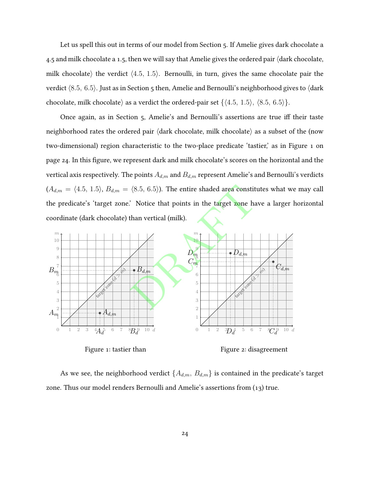Let us spell this out in terms of our model from Section [5.](#page-20-0) If Amelie gives dark chocolate a 4.5 and milk chocolate a 1.5, then we will say that Amelie gives the ordered pair*⟨*dark chocolate, milk chocolate*⟩* the verdict *⟨*4*.*5*,* 1*.*5*⟩*. Bernoulli, in turn, gives the same chocolate pair the verdict *⟨*8*.*5*,* 6*.*5*⟩*. Just as in Section [5](#page-20-0) then, Amelie and Bernoulli's neighborhood gives to *⟨*dark chocolate, milk chocolate*⟩* as a verdict the ordered-pair set *{⟨*4*.*5*,* 1*.*5*⟩, ⟨*8*.*5*,* 6*.*5*⟩}*.

Once again, as in Section [5](#page-20-0), Amelie's and Bernoulli's assertions are true iff their taste neighborhood rates the ordered pair *⟨*dark chocolate, milk chocolate*⟩* as a subset of the (now two-dimensional) region characteristic to the two-place predicate 'tastier,' as in Figure [1](#page-23-0) on page [24](#page-23-0). In this figure, we represent dark and milk chocolate's scores on the horizontal and the vertical axis respectively. The points *Ad,m* and *Bd,m* represent Amelie's and Bernoulli's verdicts  $(A_{d,m} = \langle 4.5, 1.5 \rangle, B_{d,m} = \langle 8.5, 6.5 \rangle$ ). The entire shaded area constitutes what we may call the predicate's 'target zone.' Notice that points in the target zone have a larger horizontal coordinate (dark chocolate) than vertical (milk).



<span id="page-23-0"></span>Figure 1: tastier than

<span id="page-23-1"></span>Figure 2: disagreement

As we see, the neighborhood verdict  $\{A_{d,m}, B_{d,m}\}$  is contained in the predicate's target zone. Thus our model renders Bernoulli and Amelie's assertions from ([13](#page-22-1)) true.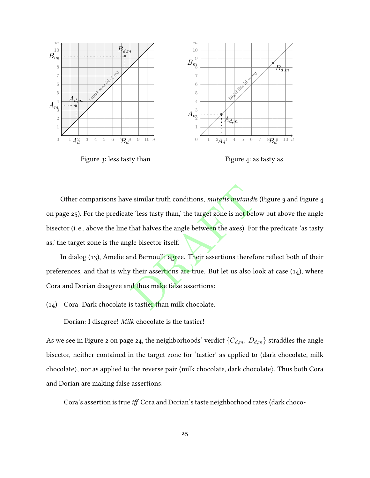

<span id="page-24-0"></span>Figure 3: less tasty than

<span id="page-24-1"></span>

Other comparisons have similar truth conditions, *mutatis mutandi*s (Figure [3](#page-24-0) and Figure [4](#page-24-1) on page [25\)](#page-24-1). For the predicate 'less tasty than,' the target zone is not below but above the angle bisector (i. e., above the line that halves the angle between the axes). For the predicate 'as tasty as,' the target zone is the angle bisector itself. e similar truth conditions, *mutatis* mutandis<br>
e 'less tasty than,' the target zone is not belo<br>
that halves the angle between the axes). For<br>
gle bisector itself.<br>
Ind Bernoulli agree. Their assertions therefor<br>
their as

In dialog ([13\)](#page-22-1), Amelie and Bernoulli agree. Their assertions therefore reflect both of their preferences, and that is why their assertions are true. But let us also look at case [\(14](#page-24-2)), where Cora and Dorian disagree and thus make false assertions:

<span id="page-24-2"></span>(14) Cora: Dark chocolate is tastier than milk chocolate.

Dorian: I disagree! *Milk* chocolate is the tastier!

As we see in Figure [2](#page-23-1) on page [24,](#page-23-1) the neighborhoods' verdict  $\{C_{d,m}, D_{d,m}\}$  straddles the angle bisector, neither contained in the target zone for 'tastier' as applied to *⟨*dark chocolate, milk chocolate*⟩*, nor as applied to the reverse pair *⟨*milk chocolate, dark chocolate*⟩*. Thus both Cora and Dorian are making false assertions:

Cora's assertion is true *iff* Cora and Dorian's taste neighborhood rates*⟨*dark choco-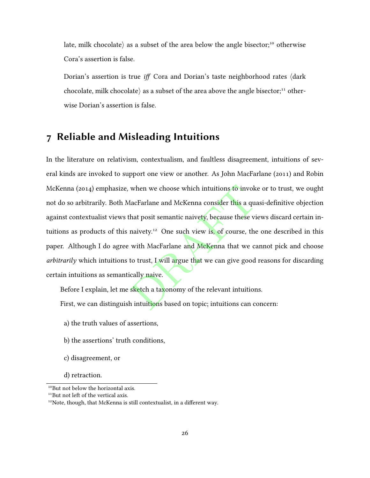late, milk chocolate) as a subset of the area below the angle bisector;<sup>[10](#page-25-1)</sup> otherwise Cora's assertion is false.

Dorian's assertion is true *iff* Cora and Dorian's taste neighborhood rates *⟨*dark chocolate, milk chocolate) as a subset of the area above the angle bisector;<sup>[11](#page-25-2)</sup> otherwise Dorian's assertion is false.

# <span id="page-25-0"></span>**7 Reliable and Misleading Intuitions**

In the literature on relativism, contextualism, and faultless disagreement, intuitions of several kinds are invoked to support one view or another. As John MacFarlane [\(2011\)](#page-32-9) and Robin McKenna ([2014\)](#page-32-10) emphasize, when we choose which intuitions to invoke or to trust, we ought not do so arbitrarily. Both MacFarlane and McKenna consider this a quasi-definitive objection against contextualist views that posit semantic naivety, because these views discard certain in-tuitions as products of this naivety.<sup>[12](#page-25-3)</sup> One such view is, of course, the one described in this paper. Although I do agree with MacFarlane and McKenna that we cannot pick and choose *arbitrarily* which intuitions to trust, I will argue that we can give good reasons for discarding certain intuitions as semantically naive. when we choose which intuitions to invok<br>lacFarlane and McKenna consider this a qua<br>hat posit semantic naivety, because these vi<br>naivety.<sup>12</sup> One such view is, of course, the<br>with MacFarlane and McKenna that we ca<br>to trust

Before I explain, let me sketch a taxonomy of the relevant intuitions.

First, we can distinguish intuitions based on topic; intuitions can concern:

- a) the truth values of assertions,
- b) the assertions' truth conditions,
- c) disagreement, or
- d) retraction.

<span id="page-25-1"></span><sup>&</sup>lt;sup>10</sup>But not below the horizontal axis.

<span id="page-25-2"></span><sup>11</sup>But not left of the vertical axis.

<span id="page-25-3"></span><sup>&</sup>lt;sup>12</sup>Note, though, that McKenna is still contextualist, in a different way.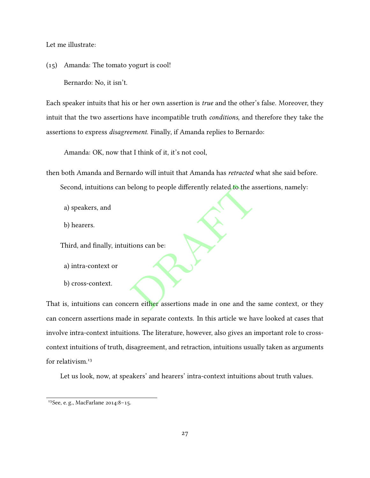<span id="page-26-1"></span>Let me illustrate:

(15) Amanda: The tomato yogurt is cool!

Bernardo: No, it isn't.

Each speaker intuits that his or her own assertion is *true* and the other's false. Moreover, they intuit that the two assertions have incompatible truth *conditions*, and therefore they take the assertions to express *disagreement*. Finally, if Amanda replies to Bernardo:

Amanda: OK, now that I think of it, it's not cool,

then both Amanda and Bernardo will intuit that Amanda has *retracted* what she said before. Second, intuitions can belong to people differently related to the assertions, namely:

a) speakers, and

b) hearers.

Third, and finally, intuitions can be:

- a) intra-context or
- b) cross-context.

That is, intuitions can concern either assertions made in one and the same context, or they can concern assertions made in separate contexts. In this article we have looked at cases that involve intra-context intuitions. The literature, however, also gives an important role to crosscontext intuitions of truth, disagreement, and retraction, intuitions usually taken as arguments for relativism.<sup>[13](#page-26-0)</sup> belong to people differently related to the as<br>tions can be:<br>ern either assertions made in one and the

Let us look, now, at speakers' and hearers' intra-context intuitions about truth values.

<span id="page-26-0"></span><sup>13</sup>See, e. g., [MacFarlane](#page-32-2) [2014](#page-32-2):8–15.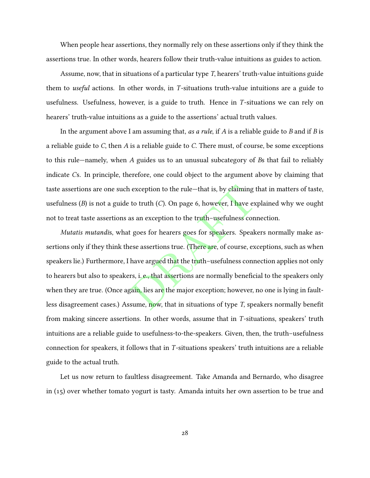When people hear assertions, they normally rely on these assertions only if they think the assertions true. In other words, hearers follow their truth-value intuitions as guides to action.

Assume, now, that in situations of a particular type *T*, hearers' truth-value intuitions guide them to *useful* actions. In other words, in *T*-situations truth-value intuitions are a guide to usefulness. Usefulness, however, is a guide to truth. Hence in *T*-situations we can rely on hearers' truth-value intuitions as a guide to the assertions' actual truth values.

In the argument above I am assuming that, *as a rule*, if *A* is a reliable guide to *B* and if *B* is a reliable guide to *C*, then *A* is a reliable guide to *C*. There must, of course, be some exceptions to this rule—namely, when *A* guides us to an unusual subcategory of *B*s that fail to reliably indicate *C*s. In principle, therefore, one could object to the argument above by claiming that taste assertions are one such exception to the rule—that is, by claiming that in matters of taste, usefulness (*B*) is not a guide to truth (*C*). On page [6](#page-5-1), however, I have explained why we ought not to treat taste assertions as an exception to the truth–usefulness connection.

*Mutatis mutandi*s, what goes for hearers goes for speakers. Speakers normally make assertions only if they think these assertions true. (There are, of course, exceptions, such as when speakers lie.) Furthermore, I have argued that the truth–usefulness connection applies not only to hearers but also to speakers, i. e., that assertions are normally beneficial to the speakers only when they are true. (Once again, lies are the major exception; however, no one is lying in faultless disagreement cases.) Assume, now, that in situations of type *T*, speakers normally benefit from making sincere assertions. In other words, assume that in *T*-situations, speakers' truth intuitions are a reliable guide to usefulness-to-the-speakers. Given, then, the truth–usefulness connection for speakers, it follows that in *T*-situations speakers' truth intuitions are a reliable guide to the actual truth. exception to the rule—that is, by claiming t<br>to truth (*C*). On page 6, however, I have ex<br>as an exception to the truth–usefulness con<br>goes for hearers goes for speakers. Speak<br>ese assertions true. (There are, of course,

Let us now return to faultless disagreement. Take Amanda and Bernardo, who disagree in [\(15](#page-26-1)) over whether tomato yogurt is tasty. Amanda intuits her own assertion to be true and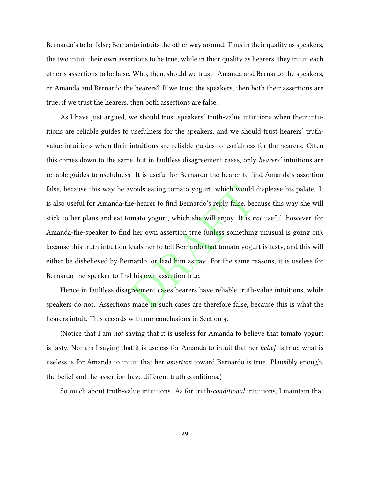Bernardo's to be false; Bernardo intuits the other way around. Thus in their quality as speakers, the two intuit their own assertions to be true, while in their quality as hearers, they intuit each other's assertions to be false. Who, then, should we trust—Amanda and Bernardo the speakers, or Amanda and Bernardo the hearers? If we trust the speakers, then both their assertions are true; if we trust the hearers, then both assertions are false.

As I have just argued, we should trust speakers' truth-value intuitions when their intuitions are reliable guides to usefulness for the speakers, and we should trust hearers' truthvalue intuitions when their intuitions are reliable guides to usefulness for the hearers. Often this comes down to the same, but in faultless disagreement cases, only *hearers'* intuitions are reliable guides to usefulness. It is useful for Bernardo-the-hearer to find Amanda's assertion false, because this way he avoids eating tomato yogurt, which would displease his palate. It is also useful for Amanda-the-hearer to find Bernardo's reply false, because this way she will stick to her plans and eat tomato yogurt, which she will enjoy. It is *not* useful, however, for Amanda-the-speaker to find her own assertion true (unless something unusual is going on), because this truth intuition leads her to tell Bernardo that tomato yogurt is tasty, and this will either be disbelieved by Bernardo, or lead him astray. For the same reasons, it is useless for Bernardo-the-speaker to find his own assertion true. voids eating tomato yogurt, which would<br>ne-hearer to find Bernardo's reply false, becomato yogurt, which she will enjoy. It is n<br>net o yogurt, which she will enjoy. It is n<br>net o yogur, which she will enjoy. It is n<br>net ov

Hence in faultless disagreement cases hearers have reliable truth-value intuitions, while speakers do not. Assertions made in such cases are therefore false, because this is what the hearers intuit. This accords with our conclusions in Section [4](#page-12-0).

(Notice that I am *not* saying that it is useless for Amanda to believe that tomato yogurt is tasty. Nor am I saying that it is useless for Amanda to intuit that her *belief* is true; what is useless is for Amanda to intuit that her *assertion* toward Bernardo is true. Plausibly enough, the belief and the assertion have different truth conditions.)

So much about truth-value intuitions. As for truth-*conditional* intuitions, I maintain that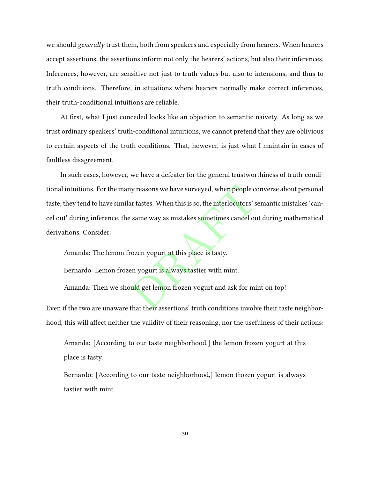we should *generally* trust them, both from speakers and especially from hearers. When hearers accept assertions, the assertions inform not only the hearers' actions, but also their inferences. Inferences, however, are sensitive not just to truth values but also to intensions, and thus to truth conditions. Therefore, in situations where hearers normally make correct inferences, their truth-conditional intuitions are reliable.

At first, what I just conceded looks like an objection to semantic naivety. As long as we trust ordinary speakers' truth-conditional intuitions, we cannot pretend that they are oblivious to certain aspects of the truth conditions. That, however, is just what I maintain in cases of faultless disagreement.

In such cases, however, we have a defeater for the general trustworthiness of truth-conditional intuitions. For the many reasons we have surveyed, when people converse about personal taste, they tend to have similar tastes. When this is so, the interlocutors' semantic mistakes 'cancel out' during inference, the same way as mistakes sometimes cancel out during mathematical derivations. Consider: Notington that their same way as mistakes sometimes cancel of the interlocutors' s<br>
Same way as mistakes sometimes cancel of<br>
Same way as mistakes sometimes cancel of<br>
Cozen yogurt at this place is tasty.<br>
Then yogurt is a

Amanda: The lemon frozen yogurt at this place is tasty.

Bernardo: Lemon frozen yogurt is always tastier with mint.

Amanda: Then we should get lemon frozen yogurt and ask for mint on top!

Even if the two are unaware that their assertions' truth conditions involve their taste neighborhood, this will affect neither the validity of their reasoning, nor the usefulness of their actions:

Amanda: [According to our taste neighborhood,] the lemon frozen yogurt at this place is tasty.

Bernardo: [According to our taste neighborhood,] lemon frozen yogurt is always tastier with mint.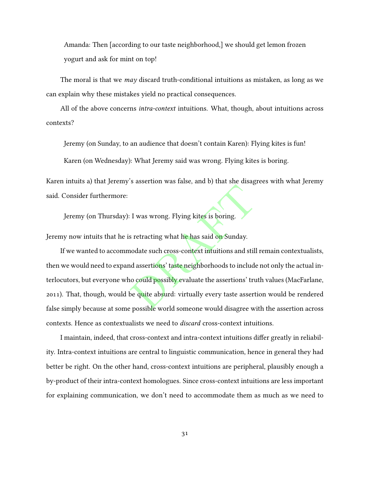Amanda: Then [according to our taste neighborhood,] we should get lemon frozen yogurt and ask for mint on top!

The moral is that we *may* discard truth-conditional intuitions as mistaken, as long as we can explain why these mistakes yield no practical consequences.

All of the above concerns *intra-context* intuitions. What, though, about intuitions across contexts?

Jeremy (on Sunday, to an audience that doesn't contain Karen): Flying kites is fun!

Karen (on Wednesday): What Jeremy said was wrong. Flying kites is boring.

Karen intuits a) that Jeremy's assertion was false, and b) that she disagrees with what Jeremy said. Consider furthermore:

Jeremy (on Thursday): I was wrong. Flying kites is boring.

Jeremy now intuits that he is retracting what he has said on Sunday.

If we wanted to accommodate such cross-context intuitions and still remain contextualists, then we would need to expand assertions' taste neighborhoods to include not only the actual interlocutors, but everyone who could possibly evaluate the assertions' truth values [\(MacFarlane,](#page-32-9) [2011\)](#page-32-9). That, though, would be quite absurd: virtually every taste assertion would be rendered false simply because at some possible world someone would disagree with the assertion across contexts. Hence as contextualists we need to *discard* cross-context intuitions. I was wrong. Flying kites is boring.<br>
S retracting what he has said on Sunday.<br>
Nodate such cross-context intuitions and still<br>
d assertions' taste neighborhoods to include<br>
to could possibly evaluate the assertions' trupp

I maintain, indeed, that cross-context and intra-context intuitions differ greatly in reliability. Intra-context intuitions are central to linguistic communication, hence in general they had better be right. On the other hand, cross-context intuitions are peripheral, plausibly enough a by-product of their intra-context homologues. Since cross-context intuitions are less important for explaining communication, we don't need to accommodate them as much as we need to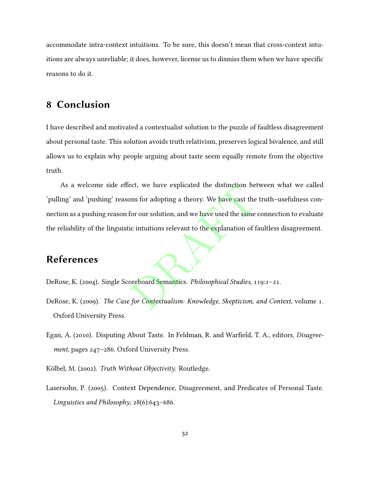accommodate intra-context intuitions. To be sure, this doesn't mean that cross-context intuitions are always unreliable; it does, however, license us to dismiss them when we have specific reasons to do it.

# **8 Conclusion**

I have described and motivated a contextualist solution to the puzzle of faultless disagreement about personal taste. This solution avoids truth relativism, preserves logical bivalence, and still allows us to explain why people arguing about taste seem equally remote from the objective truth.

As a welcome side effect, we have explicated the distinction between what we called 'pulling' and 'pushing' reasons for adopting a theory. We have cast the truth–usefulness connection as a pushing reason for our solution, and we have used the same connection to evaluate the reliability of the linguistic intuitions relevant to the explanation of faultless disagreement. ect, we have explicated the distinction be<br>the form our solution, and we have used the same<br>ic intuitions relevant to the explanation of f<br>preboard Semantics. Philosophical Studies, 1<br>for Contextualism: Knowledge, Skeptici

# **References**

- <span id="page-31-3"></span>DeRose, K. (2004). Single Scoreboard Semantics. *Philosophical Studies*, 119:1–21.
- <span id="page-31-4"></span>DeRose, K. (2009). *The Case for Contextualism: Knowledge, Skepticism, and Context*, volume 1. Oxford University Press.
- <span id="page-31-2"></span>Egan, A. (2010). Disputing About Taste. In Feldman, R. and Warfield, T. A., editors, *Disagreement*, pages 247–286. Oxford University Press.
- <span id="page-31-0"></span>Kölbel, M. (2002). *Truth Without Objectivity*. Routledge.
- <span id="page-31-1"></span>Lasersohn, P. (2005). Context Dependence, Disagreement, and Predicates of Personal Taste. *Linguistics and Philosophy*, 28(6):643–686.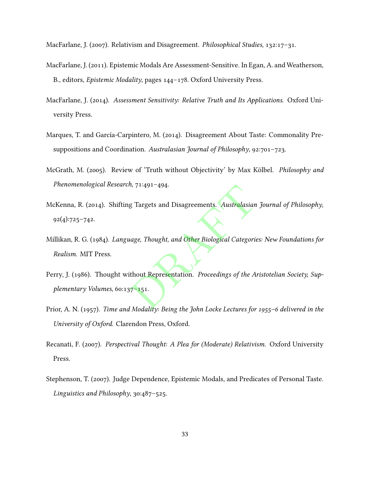<span id="page-32-1"></span>MacFarlane, J. (2007). Relativism and Disagreement. *Philosophical Studies*, 132:17–31.

- <span id="page-32-9"></span>MacFarlane, J. (2011). Epistemic Modals Are Assessment-Sensitive. In Egan, A. and Weatherson, B., editors, *Epistemic Modality*, pages 144–178. Oxford University Press.
- <span id="page-32-2"></span>MacFarlane, J. (2014). *Assessment Sensitivity: Relative Truth and Its Applications*. Oxford University Press.
- <span id="page-32-7"></span>Marques, T. and García-Carpintero, M. (2014). Disagreement About Taste: Commonality Presuppositions and Coordination. *Australasian Journal of Philosophy*, 92:701–723.
- <span id="page-32-4"></span>McGrath, M. (2005). Review of 'Truth without Objectivity' by Max Kölbel. *Philosophy and Phenomenological Research*, 71:491–494.
- McKenna, R. (2014). Shifting Targets and Disagreements. *Australasian Journal of Philosophy*, 92(4):725–742.
- <span id="page-32-8"></span><span id="page-32-6"></span>Millikan, R. G. (1984). *Language, Thought, and Other Biological Categories: New Foundations for Realism*. MIT Press.
- <span id="page-32-10"></span>Perry, J. (1986). Thought without Representation. *Proceedings of the Aristotelian Society, Supplementary Volumes*, 60:137–151. 1, 71:491-494.<br>
g Targets and Disagreements. Australasian<br>
lage, Thought, and Other Biological Categoria<br>
thout Representation. Proceedings of the A<br>
17-151.<br>
Modality: Being the John Locke Lectures for
- <span id="page-32-5"></span>Prior, A. N. (1957). *Time and Modality: Being the John Locke Lectures for 1955–6 delivered in the University of Oxford*. Clarendon Press, Oxford.
- <span id="page-32-3"></span>Recanati, F. (2007). *Perspectival Thought: A Plea for (Moderate) Relativism*. Oxford University Press.
- <span id="page-32-0"></span>Stephenson, T. (2007). Judge Dependence, Epistemic Modals, and Predicates of Personal Taste. *Linguistics and Philosophy*, 30:487–525.